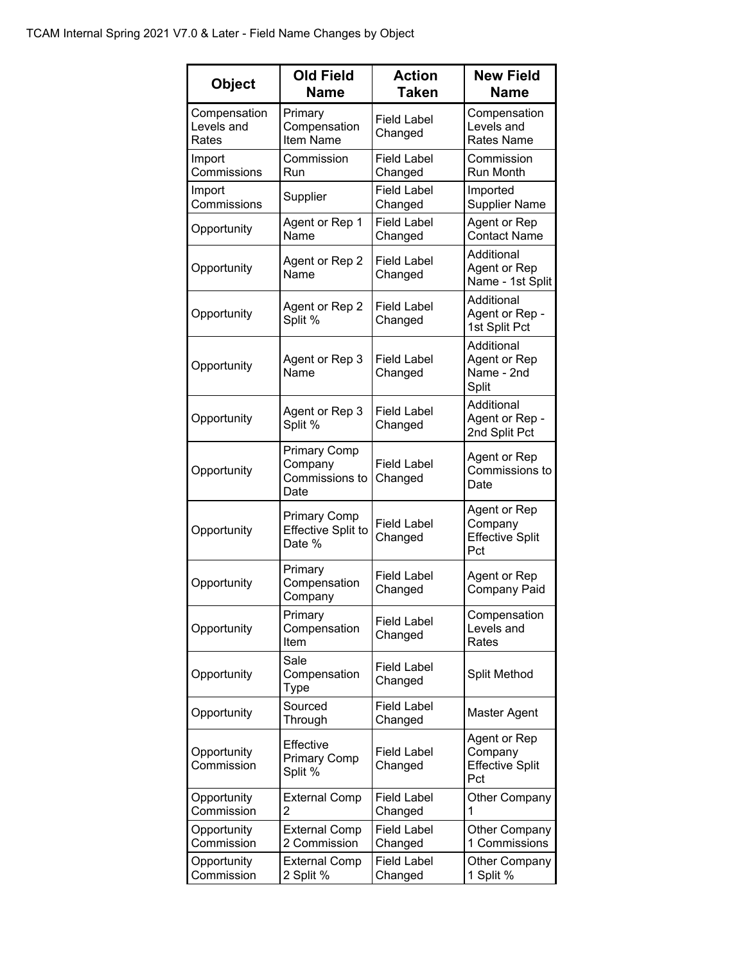| <b>Object</b>                       | <b>Old Field</b><br>Name                                   | <b>Action</b><br><b>Taken</b> | <b>New Field</b><br><b>Name</b>                          |
|-------------------------------------|------------------------------------------------------------|-------------------------------|----------------------------------------------------------|
| Compensation<br>Levels and<br>Rates | Primary<br>Compensation<br><b>Item Name</b>                | <b>Field Label</b><br>Changed | Compensation<br>Levels and<br><b>Rates Name</b>          |
| Import<br>Commissions               | Commission<br>Run                                          | <b>Field Label</b><br>Changed | Commission<br>Run Month                                  |
| Import<br>Commissions               | Supplier                                                   | <b>Field Label</b><br>Changed | Imported<br><b>Supplier Name</b>                         |
| Opportunity                         | Agent or Rep 1<br>Name                                     | <b>Field Label</b><br>Changed | Agent or Rep<br><b>Contact Name</b>                      |
| Opportunity                         | Agent or Rep 2<br>Name                                     | <b>Field Label</b><br>Changed | Additional<br>Agent or Rep<br>Name - 1st Split           |
| Opportunity                         | Agent or Rep 2<br>Split %                                  | <b>Field Label</b><br>Changed | Additional<br>Agent or Rep -<br>1st Split Pct            |
| Opportunity                         | Agent or Rep 3<br>Name                                     | <b>Field Label</b><br>Changed | Additional<br>Agent or Rep<br>Name - 2nd<br>Split        |
| Opportunity                         | Agent or Rep 3<br>Split %                                  | <b>Field Label</b><br>Changed | Additional<br>Agent or Rep -<br>2nd Split Pct            |
| Opportunity                         | <b>Primary Comp</b><br>Company<br>Commissions to<br>Date   | <b>Field Label</b><br>Changed | Agent or Rep<br>Commissions to<br>Date                   |
| Opportunity                         | <b>Primary Comp</b><br><b>Effective Split to</b><br>Date % | <b>Field Label</b><br>Changed | Agent or Rep<br>Company<br><b>Effective Split</b><br>Pct |
| Opportunity                         | Primary<br>Compensation<br>Company                         | <b>Field Label</b><br>Changed | Agent or Rep<br>Company Paid                             |
| Opportunity                         | Primary<br>Compensation<br>Item                            | <b>Field Label</b><br>Changed | Compensation<br>Levels and<br>Rates                      |
| Opportunity                         | Sale<br>Compensation<br>Type                               | <b>Field Label</b><br>Changed | Split Method                                             |
| Opportunity                         | Sourced<br>Through                                         | <b>Field Label</b><br>Changed | Master Agent                                             |
| Opportunity<br>Commission           | Effective<br><b>Primary Comp</b><br>Split %                | <b>Field Label</b><br>Changed | Agent or Rep<br>Company<br><b>Effective Split</b><br>Pct |
| Opportunity<br>Commission           | <b>External Comp</b><br>2                                  | <b>Field Label</b><br>Changed | <b>Other Company</b><br>1                                |
| Opportunity<br>Commission           | <b>External Comp</b><br>2 Commission                       | <b>Field Label</b><br>Changed | Other Company<br>1 Commissions                           |
| Opportunity<br>Commission           | <b>External Comp</b><br>2 Split %                          | <b>Field Label</b><br>Changed | <b>Other Company</b><br>1 Split %                        |